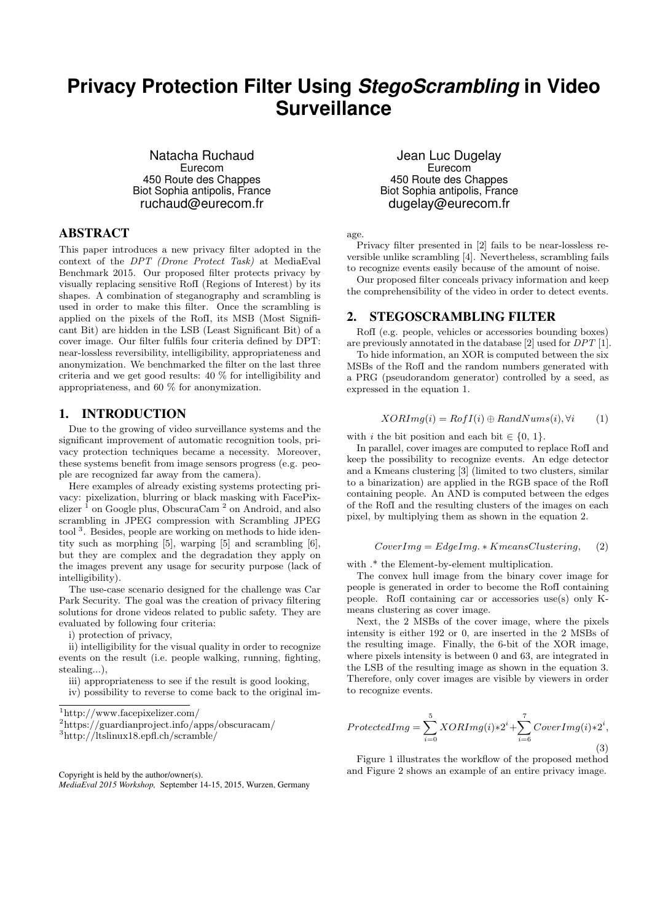# **Privacy Protection Filter Using** *StegoScrambling* **in Video Surveillance**

Natacha Ruchaud Eurecom 450 Route des Chappes Biot Sophia antipolis, France ruchaud@eurecom.fr

# ABSTRACT

This paper introduces a new privacy filter adopted in the context of the DPT (Drone Protect Task) at MediaEval Benchmark 2015. Our proposed filter protects privacy by visually replacing sensitive RofI (Regions of Interest) by its shapes. A combination of steganography and scrambling is used in order to make this filter. Once the scrambling is applied on the pixels of the RofI, its MSB (Most Significant Bit) are hidden in the LSB (Least Significant Bit) of a cover image. Our filter fulfils four criteria defined by DPT: near-lossless reversibility, intelligibility, appropriateness and anonymization. We benchmarked the filter on the last three criteria and we get good results: 40 % for intelligibility and appropriateness, and 60 % for anonymization.

#### 1. INTRODUCTION

Due to the growing of video surveillance systems and the significant improvement of automatic recognition tools, privacy protection techniques became a necessity. Moreover, these systems benefit from image sensors progress (e.g. people are recognized far away from the camera).

Here examples of already existing systems protecting privacy: pixelization, blurring or black masking with FacePixelizer <sup>1</sup> on Google plus, ObscuraCam <sup>2</sup> on Android, and also scrambling in JPEG compression with Scrambling JPEG tool<sup>3</sup>. Besides, people are working on methods to hide identity such as morphing [5], warping [5] and scrambling [6], but they are complex and the degradation they apply on the images prevent any usage for security purpose (lack of intelligibility).

The use-case scenario designed for the challenge was Car Park Security. The goal was the creation of privacy filtering solutions for drone videos related to public safety. They are evaluated by following four criteria:

i) protection of privacy,

ii) intelligibility for the visual quality in order to recognize events on the result (i.e. people walking, running, fighting, stealing...),

iii) appropriateness to see if the result is good looking,

Copyright is held by the author/owner(s). *MediaEval 2015 Workshop,* September 14-15, 2015, Wurzen, Germany

#### Jean Luc Dugelay Eurecom 450 Route des Chappes Biot Sophia antipolis, France dugelay@eurecom.fr

age.

Privacy filter presented in [2] fails to be near-lossless reversible unlike scrambling [4]. Nevertheless, scrambling fails to recognize events easily because of the amount of noise.

Our proposed filter conceals privacy information and keep the comprehensibility of the video in order to detect events.

#### 2. STEGOSCRAMBLING FILTER

RofI (e.g. people, vehicles or accessories bounding boxes) are previously annotated in the database [2] used for DPT [1].

To hide information, an XOR is computed between the six MSBs of the RofI and the random numbers generated with a PRG (pseudorandom generator) controlled by a seed, as expressed in the equation 1.

$$
XORImg(i) = RofI(i) \oplus RandNums(i), \forall i \qquad (1)
$$

with i the bit position and each bit  $\in \{0, 1\}.$ 

In parallel, cover images are computed to replace RofI and keep the possibility to recognize events. An edge detector and a Kmeans clustering [3] (limited to two clusters, similar to a binarization) are applied in the RGB space of the RofI containing people. An AND is computed between the edges of the RofI and the resulting clusters of the images on each pixel, by multiplying them as shown in the equation 2.

$$
CoverImg = EdgeImg. * Kmeans Clustering,
$$
 (2)

with  $.*$  the Element-by-element multiplication.

The convex hull image from the binary cover image for people is generated in order to become the RofI containing people. RofI containing car or accessories use(s) only Kmeans clustering as cover image.

Next, the 2 MSBs of the cover image, where the pixels intensity is either 192 or 0, are inserted in the 2 MSBs of the resulting image. Finally, the 6-bit of the XOR image, where pixels intensity is between 0 and 63, are integrated in the LSB of the resulting image as shown in the equation 3. Therefore, only cover images are visible by viewers in order to recognize events.

$$
ProtectedImg = \sum_{i=0}^{5} XORImg(i) * 2^{i} + \sum_{i=6}^{7} CoverImg(i) * 2^{i},
$$
\n(3)

Figure 1 illustrates the workflow of the proposed method and Figure 2 shows an example of an entire privacy image.

iv) possibility to reverse to come back to the original im-

<sup>1</sup>http://www.facepixelizer.com/

 $^2$ https://guardianproject.info/apps/obscuracam/

<sup>3</sup>http://ltslinux18.epfl.ch/scramble/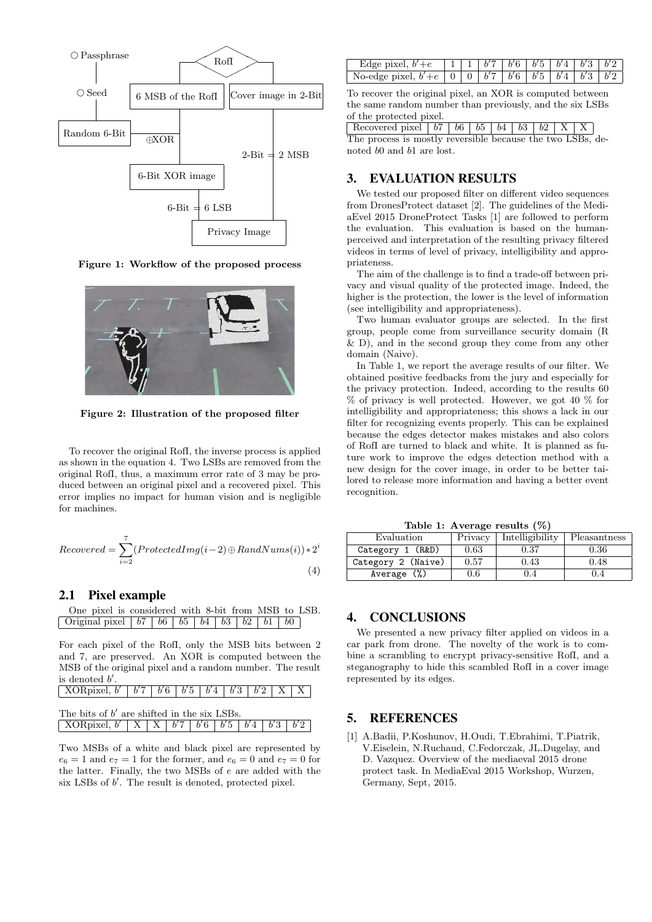

Figure 1: Workflow of the proposed process



Figure 2: Illustration of the proposed filter

To recover the original RofI, the inverse process is applied as shown in the equation 4. Two LSBs are removed from the original RofI, thus, a maximum error rate of 3 may be produced between an original pixel and a recovered pixel. This error implies no impact for human vision and is negligible for machines.

$$
Recovered = \sum_{i=2}^{7} (ProtectedImg(i-2) \oplus RandNums(i)) * 2^{i}
$$
\n(4)

#### 2.1 Pixel example

| One pixel is considered with 8-bit from MSB to LSB.                    |  |  |  |  |  |
|------------------------------------------------------------------------|--|--|--|--|--|
| Original pixel   $b7$   $b6$   $b5$   $b4$   $b3$   $b2$   $b1$   $b0$ |  |  |  |  |  |

For each pixel of the RofI, only the MSB bits between 2 and 7, are preserved. An XOR is computed between the MSB of the original pixel and a random number. The result is denoted  $b'$ .

| $\sqrt{\text{XORpixel}, b' \mid b'7 \mid b'6 \mid b'5 \mid b'4 \mid b'3 \mid b'2 \mid X \mid X}$ |  |  |  |  |  |  |  |  |
|--------------------------------------------------------------------------------------------------|--|--|--|--|--|--|--|--|
|                                                                                                  |  |  |  |  |  |  |  |  |
| The bits of $b'$ are shifted in the six LSBs.                                                    |  |  |  |  |  |  |  |  |
| XORpixel, $b'$   X   X   $b'7$   $b'6$   $b'5$   $b'4$   $b'3$   $b'2$                           |  |  |  |  |  |  |  |  |

Two MSBs of a white and black pixel are represented by  $e_6 = 1$  and  $e_7 = 1$  for the former, and  $e_6 = 0$  and  $e_7 = 0$  for the latter. Finally, the two MSBs of e are added with the six LSBs of  $b'$ . The result is denoted, protected pixel.

| Edge pixel, $b'+e$                                              |  |  | $1111$ $1761$ $661$ $641$ $631$ |  |
|-----------------------------------------------------------------|--|--|---------------------------------|--|
| No-edge pixel, $b' + e$ 0 0 $b'7$ $b'6$ $b'5$ $b'4$ $b'3$ $b'2$ |  |  |                                 |  |

To recover the original pixel, an XOR is computed between the same random number than previously, and the six LSBs of the protected pixel.

Recovered pixel b7 b6 b5 b4 b3 b2 X X The process is mostly reversible because the two LSBs, denoted b0 and b1 are lost.

## 3. EVALUATION RESULTS

We tested our proposed filter on different video sequences from DronesProtect dataset [2]. The guidelines of the MediaEvel 2015 DroneProtect Tasks [1] are followed to perform the evaluation. This evaluation is based on the humanperceived and interpretation of the resulting privacy filtered videos in terms of level of privacy, intelligibility and appropriateness.

The aim of the challenge is to find a trade-off between privacy and visual quality of the protected image. Indeed, the higher is the protection, the lower is the level of information (see intelligibility and appropriateness).

Two human evaluator groups are selected. In the first group, people come from surveillance security domain (R  $\&$  D), and in the second group they come from any other domain (Naive).

In Table 1, we report the average results of our filter. We obtained positive feedbacks from the jury and especially for the privacy protection. Indeed, according to the results 60 % of privacy is well protected. However, we got 40 % for intelligibility and appropriateness; this shows a lack in our filter for recognizing events properly. This can be explained because the edges detector makes mistakes and also colors of RofI are turned to black and white. It is planned as future work to improve the edges detection method with a new design for the cover image, in order to be better tailored to release more information and having a better event recognition.

Table 1: Average results (%)

| Evaluation         | Privacy | Intelligibility | Pleasantness |
|--------------------|---------|-----------------|--------------|
| Category 1 (R&D)   | 0.63    | 0.37            | 0.36         |
| Category 2 (Naive) | 0.57    | $\rm 0.43$      | 0.48         |
| Average $(\%)$     | $0.6\,$ | .4              | 0.4          |

#### 4. CONCLUSIONS

We presented a new privacy filter applied on videos in a car park from drone. The novelty of the work is to combine a scrambling to encrypt privacy-sensitive RofI, and a steganography to hide this scambled RofI in a cover image represented by its edges.

## 5. REFERENCES

[1] A.Badii, P.Koshunov, H.Oudi, T.Ebrahimi, T.Piatrik, V.Eiselein, N.Ruchaud, C.Fedorczak, JL.Dugelay, and D. Vazquez. Overview of the mediaeval 2015 drone protect task. In MediaEval 2015 Workshop, Wurzen, Germany, Sept, 2015.